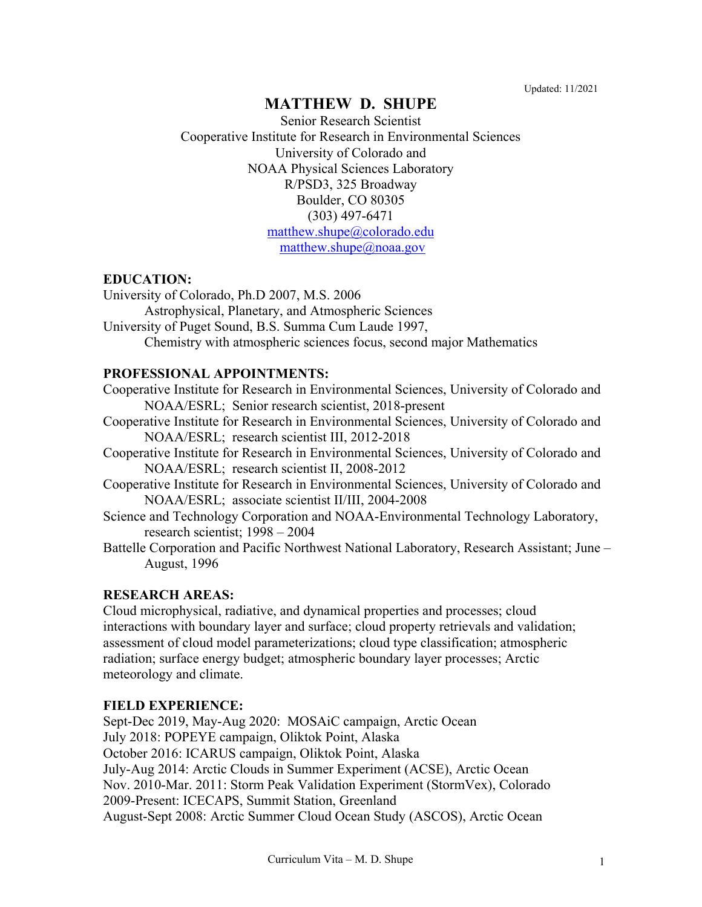# **MATTHEW D. SHUPE**

Senior Research Scientist Cooperative Institute for Research in Environmental Sciences University of Colorado and NOAA Physical Sciences Laboratory R/PSD3, 325 Broadway Boulder, CO 80305 (303) 497-6471 [matthew.shupe@colorado.edu](mailto:matthew.shupe@colorado.edu) [matthew.shupe@noaa.gov](mailto:matthew.shupe@noaa.gov)

## **EDUCATION:**

University of Colorado, Ph.D 2007, M.S. 2006

Astrophysical, Planetary, and Atmospheric Sciences

University of Puget Sound, B.S. Summa Cum Laude 1997,

Chemistry with atmospheric sciences focus, second major Mathematics

### **PROFESSIONAL APPOINTMENTS:**

- Cooperative Institute for Research in Environmental Sciences, University of Colorado and NOAA/ESRL; Senior research scientist, 2018-present
- Cooperative Institute for Research in Environmental Sciences, University of Colorado and NOAA/ESRL; research scientist III, 2012-2018
- Cooperative Institute for Research in Environmental Sciences, University of Colorado and NOAA/ESRL; research scientist II, 2008-2012
- Cooperative Institute for Research in Environmental Sciences, University of Colorado and NOAA/ESRL; associate scientist II/III, 2004-2008
- Science and Technology Corporation and NOAA-Environmental Technology Laboratory, research scientist; 1998 – 2004
- Battelle Corporation and Pacific Northwest National Laboratory, Research Assistant; June August, 1996

## **RESEARCH AREAS:**

Cloud microphysical, radiative, and dynamical properties and processes; cloud interactions with boundary layer and surface; cloud property retrievals and validation; assessment of cloud model parameterizations; cloud type classification; atmospheric radiation; surface energy budget; atmospheric boundary layer processes; Arctic meteorology and climate.

## **FIELD EXPERIENCE:**

Sept-Dec 2019, May-Aug 2020: MOSAiC campaign, Arctic Ocean July 2018: POPEYE campaign, Oliktok Point, Alaska October 2016: ICARUS campaign, Oliktok Point, Alaska July-Aug 2014: Arctic Clouds in Summer Experiment (ACSE), Arctic Ocean Nov. 2010-Mar. 2011: Storm Peak Validation Experiment (StormVex), Colorado 2009-Present: ICECAPS, Summit Station, Greenland August-Sept 2008: Arctic Summer Cloud Ocean Study (ASCOS), Arctic Ocean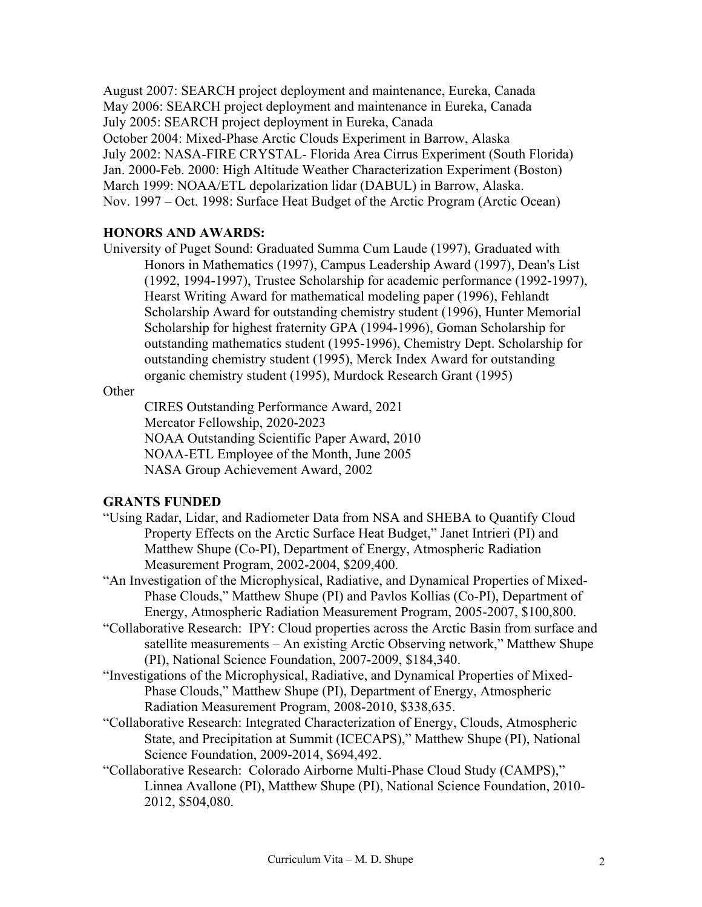August 2007: SEARCH project deployment and maintenance, Eureka, Canada May 2006: SEARCH project deployment and maintenance in Eureka, Canada July 2005: SEARCH project deployment in Eureka, Canada October 2004: Mixed-Phase Arctic Clouds Experiment in Barrow, Alaska July 2002: NASA-FIRE CRYSTAL- Florida Area Cirrus Experiment (South Florida) Jan. 2000-Feb. 2000: High Altitude Weather Characterization Experiment (Boston) March 1999: NOAA/ETL depolarization lidar (DABUL) in Barrow, Alaska. Nov. 1997 – Oct. 1998: Surface Heat Budget of the Arctic Program (Arctic Ocean)

#### **HONORS AND AWARDS:**

University of Puget Sound: Graduated Summa Cum Laude (1997), Graduated with Honors in Mathematics (1997), Campus Leadership Award (1997), Dean's List (1992, 1994-1997), Trustee Scholarship for academic performance (1992-1997), Hearst Writing Award for mathematical modeling paper (1996), Fehlandt Scholarship Award for outstanding chemistry student (1996), Hunter Memorial Scholarship for highest fraternity GPA (1994-1996), Goman Scholarship for outstanding mathematics student (1995-1996), Chemistry Dept. Scholarship for outstanding chemistry student (1995), Merck Index Award for outstanding organic chemistry student (1995), Murdock Research Grant (1995)

**Other** 

CIRES Outstanding Performance Award, 2021 Mercator Fellowship, 2020-2023 NOAA Outstanding Scientific Paper Award, 2010 NOAA-ETL Employee of the Month, June 2005 NASA Group Achievement Award, 2002

### **GRANTS FUNDED**

- "Using Radar, Lidar, and Radiometer Data from NSA and SHEBA to Quantify Cloud Property Effects on the Arctic Surface Heat Budget," Janet Intrieri (PI) and Matthew Shupe (Co-PI), Department of Energy, Atmospheric Radiation Measurement Program, 2002-2004, \$209,400.
- "An Investigation of the Microphysical, Radiative, and Dynamical Properties of Mixed-Phase Clouds," Matthew Shupe (PI) and Pavlos Kollias (Co-PI), Department of Energy, Atmospheric Radiation Measurement Program, 2005-2007, \$100,800.
- "Collaborative Research: IPY: Cloud properties across the Arctic Basin from surface and satellite measurements – An existing Arctic Observing network," Matthew Shupe (PI), National Science Foundation, 2007-2009, \$184,340.
- "Investigations of the Microphysical, Radiative, and Dynamical Properties of Mixed-Phase Clouds," Matthew Shupe (PI), Department of Energy, Atmospheric Radiation Measurement Program, 2008-2010, \$338,635.
- "Collaborative Research: Integrated Characterization of Energy, Clouds, Atmospheric State, and Precipitation at Summit (ICECAPS)," Matthew Shupe (PI), National Science Foundation, 2009-2014, \$694,492.
- "Collaborative Research: Colorado Airborne Multi-Phase Cloud Study (CAMPS)," Linnea Avallone (PI), Matthew Shupe (PI), National Science Foundation, 2010- 2012, \$504,080.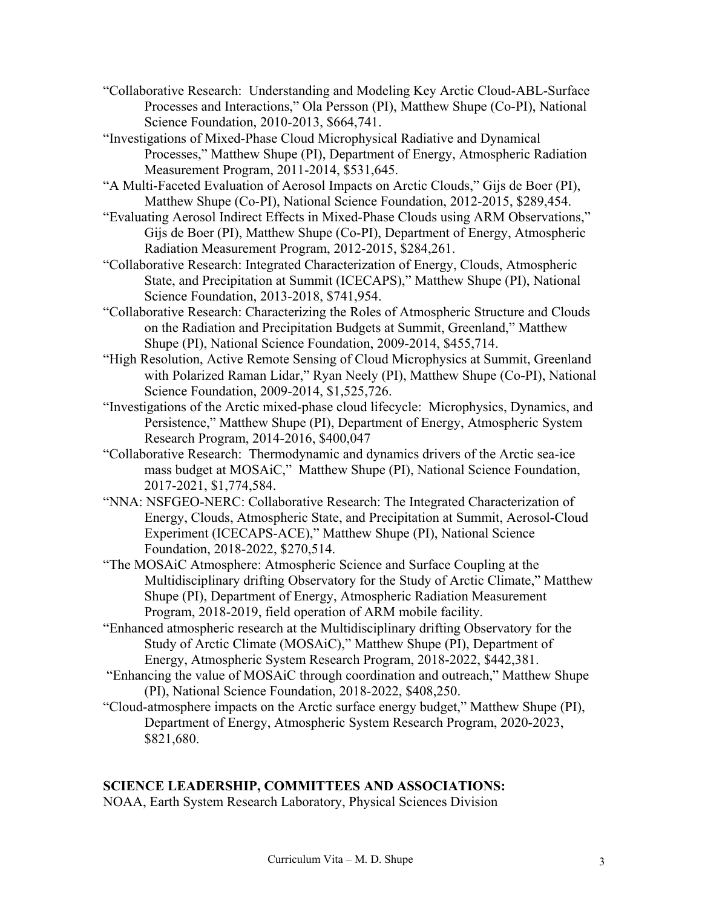- "Collaborative Research: Understanding and Modeling Key Arctic Cloud-ABL-Surface Processes and Interactions," Ola Persson (PI), Matthew Shupe (Co-PI), National Science Foundation, 2010-2013, \$664,741.
- "Investigations of Mixed-Phase Cloud Microphysical Radiative and Dynamical Processes," Matthew Shupe (PI), Department of Energy, Atmospheric Radiation Measurement Program, 2011-2014, \$531,645.
- "A Multi-Faceted Evaluation of Aerosol Impacts on Arctic Clouds," Gijs de Boer (PI), Matthew Shupe (Co-PI), National Science Foundation, 2012-2015, \$289,454.
- "Evaluating Aerosol Indirect Effects in Mixed-Phase Clouds using ARM Observations," Gijs de Boer (PI), Matthew Shupe (Co-PI), Department of Energy, Atmospheric Radiation Measurement Program, 2012-2015, \$284,261.
- "Collaborative Research: Integrated Characterization of Energy, Clouds, Atmospheric State, and Precipitation at Summit (ICECAPS)," Matthew Shupe (PI), National Science Foundation, 2013-2018, \$741,954.
- "Collaborative Research: Characterizing the Roles of Atmospheric Structure and Clouds on the Radiation and Precipitation Budgets at Summit, Greenland," Matthew Shupe (PI), National Science Foundation, 2009-2014, \$455,714.
- "High Resolution, Active Remote Sensing of Cloud Microphysics at Summit, Greenland with Polarized Raman Lidar," Ryan Neely (PI), Matthew Shupe (Co-PI), National Science Foundation, 2009-2014, \$1,525,726.
- "Investigations of the Arctic mixed-phase cloud lifecycle: Microphysics, Dynamics, and Persistence," Matthew Shupe (PI), Department of Energy, Atmospheric System Research Program, 2014-2016, \$400,047
- "Collaborative Research: Thermodynamic and dynamics drivers of the Arctic sea-ice mass budget at MOSAiC," Matthew Shupe (PI), National Science Foundation, 2017-2021, \$1,774,584.
- "NNA: NSFGEO-NERC: Collaborative Research: The Integrated Characterization of Energy, Clouds, Atmospheric State, and Precipitation at Summit, Aerosol-Cloud Experiment (ICECAPS-ACE)," Matthew Shupe (PI), National Science Foundation, 2018-2022, \$270,514.
- "The MOSAiC Atmosphere: Atmospheric Science and Surface Coupling at the Multidisciplinary drifting Observatory for the Study of Arctic Climate," Matthew Shupe (PI), Department of Energy, Atmospheric Radiation Measurement Program, 2018-2019, field operation of ARM mobile facility.
- "Enhanced atmospheric research at the Multidisciplinary drifting Observatory for the Study of Arctic Climate (MOSAiC)," Matthew Shupe (PI), Department of Energy, Atmospheric System Research Program, 2018-2022, \$442,381.
- "Enhancing the value of MOSAiC through coordination and outreach," Matthew Shupe (PI), National Science Foundation, 2018-2022, \$408,250.
- "Cloud-atmosphere impacts on the Arctic surface energy budget," Matthew Shupe (PI), Department of Energy, Atmospheric System Research Program, 2020-2023, \$821,680.

## **SCIENCE LEADERSHIP, COMMITTEES AND ASSOCIATIONS:**

NOAA, Earth System Research Laboratory, Physical Sciences Division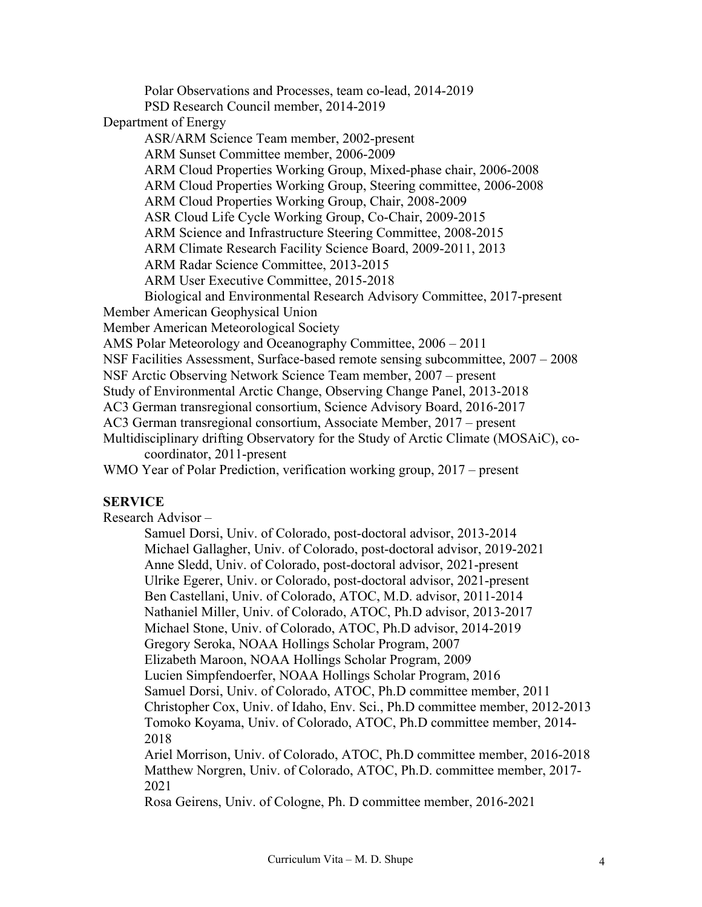Polar Observations and Processes, team co-lead, 2014-2019 PSD Research Council member, 2014-2019 Department of Energy ASR/ARM Science Team member, 2002-present ARM Sunset Committee member, 2006-2009 ARM Cloud Properties Working Group, Mixed-phase chair, 2006-2008 ARM Cloud Properties Working Group, Steering committee, 2006-2008 ARM Cloud Properties Working Group, Chair, 2008-2009 ASR Cloud Life Cycle Working Group, Co-Chair, 2009-2015 ARM Science and Infrastructure Steering Committee, 2008-2015 ARM Climate Research Facility Science Board, 2009-2011, 2013 ARM Radar Science Committee, 2013-2015 ARM User Executive Committee, 2015-2018 Biological and Environmental Research Advisory Committee, 2017-present Member American Geophysical Union Member American Meteorological Society AMS Polar Meteorology and Oceanography Committee, 2006 – 2011 NSF Facilities Assessment, Surface-based remote sensing subcommittee, 2007 – 2008 NSF Arctic Observing Network Science Team member, 2007 – present Study of Environmental Arctic Change, Observing Change Panel, 2013-2018 AC3 German transregional consortium, Science Advisory Board, 2016-2017 AC3 German transregional consortium, Associate Member, 2017 – present Multidisciplinary drifting Observatory for the Study of Arctic Climate (MOSAiC), cocoordinator, 2011-present WMO Year of Polar Prediction, verification working group, 2017 – present

## **SERVICE**

Research Advisor –

Samuel Dorsi, Univ. of Colorado, post-doctoral advisor, 2013-2014 Michael Gallagher, Univ. of Colorado, post-doctoral advisor, 2019-2021 Anne Sledd, Univ. of Colorado, post-doctoral advisor, 2021-present Ulrike Egerer, Univ. or Colorado, post-doctoral advisor, 2021-present Ben Castellani, Univ. of Colorado, ATOC, M.D. advisor, 2011-2014 Nathaniel Miller, Univ. of Colorado, ATOC, Ph.D advisor, 2013-2017 Michael Stone, Univ. of Colorado, ATOC, Ph.D advisor, 2014-2019 Gregory Seroka, NOAA Hollings Scholar Program, 2007 Elizabeth Maroon, NOAA Hollings Scholar Program, 2009 Lucien Simpfendoerfer, NOAA Hollings Scholar Program, 2016 Samuel Dorsi, Univ. of Colorado, ATOC, Ph.D committee member, 2011 Christopher Cox, Univ. of Idaho, Env. Sci., Ph.D committee member, 2012-2013 Tomoko Koyama, Univ. of Colorado, ATOC, Ph.D committee member, 2014- 2018 Ariel Morrison, Univ. of Colorado, ATOC, Ph.D committee member, 2016-2018 Matthew Norgren, Univ. of Colorado, ATOC, Ph.D. committee member, 2017- 2021

Rosa Geirens, Univ. of Cologne, Ph. D committee member, 2016-2021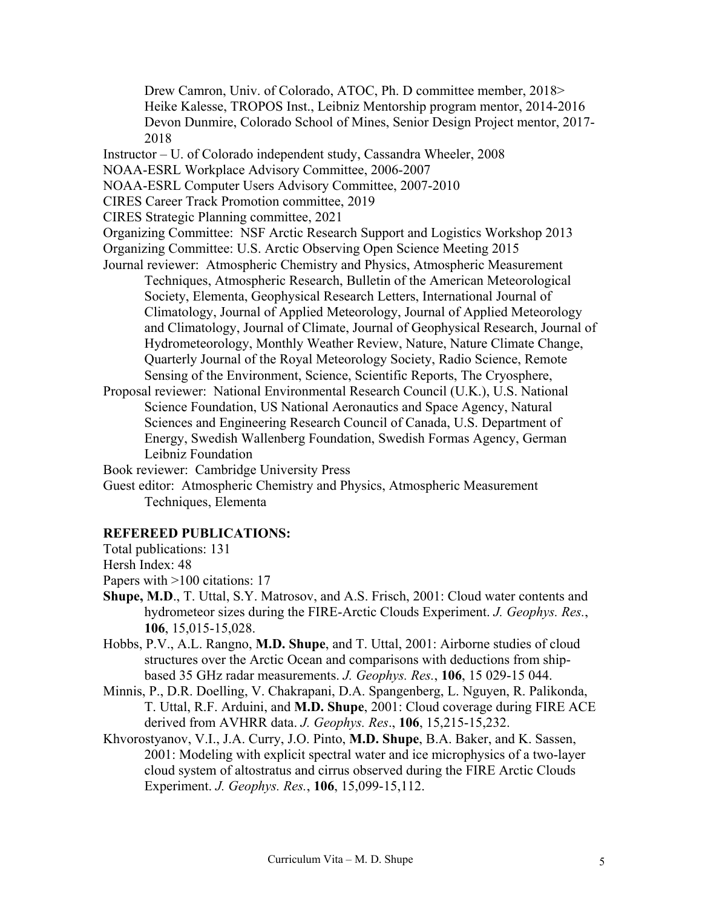Drew Camron, Univ. of Colorado, ATOC, Ph. D committee member, 2018> Heike Kalesse, TROPOS Inst., Leibniz Mentorship program mentor, 2014-2016 Devon Dunmire, Colorado School of Mines, Senior Design Project mentor, 2017- 2018

Instructor – U. of Colorado independent study, Cassandra Wheeler, 2008

NOAA-ESRL Workplace Advisory Committee, 2006-2007

NOAA-ESRL Computer Users Advisory Committee, 2007-2010

CIRES Career Track Promotion committee, 2019

CIRES Strategic Planning committee, 2021

Organizing Committee: NSF Arctic Research Support and Logistics Workshop 2013 Organizing Committee: U.S. Arctic Observing Open Science Meeting 2015

- Journal reviewer: Atmospheric Chemistry and Physics, Atmospheric Measurement Techniques, Atmospheric Research, Bulletin of the American Meteorological Society, Elementa, Geophysical Research Letters, International Journal of Climatology, Journal of Applied Meteorology, Journal of Applied Meteorology and Climatology, Journal of Climate, Journal of Geophysical Research, Journal of Hydrometeorology, Monthly Weather Review, Nature, Nature Climate Change, Quarterly Journal of the Royal Meteorology Society, Radio Science, Remote Sensing of the Environment, Science, Scientific Reports, The Cryosphere,
- Proposal reviewer: National Environmental Research Council (U.K.), U.S. National Science Foundation, US National Aeronautics and Space Agency, Natural Sciences and Engineering Research Council of Canada, U.S. Department of Energy, Swedish Wallenberg Foundation, Swedish Formas Agency, German Leibniz Foundation

Book reviewer: Cambridge University Press

Guest editor: Atmospheric Chemistry and Physics, Atmospheric Measurement Techniques, Elementa

#### **REFEREED PUBLICATIONS:**

Total publications: 131

Hersh Index: 48

Papers with >100 citations: 17

- **Shupe, M.D**., T. Uttal, S.Y. Matrosov, and A.S. Frisch, 2001: Cloud water contents and hydrometeor sizes during the FIRE-Arctic Clouds Experiment. *J. Geophys. Res.*, **106**, 15,015-15,028.
- Hobbs, P.V., A.L. Rangno, **M.D. Shupe**, and T. Uttal, 2001: Airborne studies of cloud structures over the Arctic Ocean and comparisons with deductions from shipbased 35 GHz radar measurements. *J. Geophys. Res.*, **106**, 15 029-15 044.
- Minnis, P., D.R. Doelling, V. Chakrapani, D.A. Spangenberg, L. Nguyen, R. Palikonda, T. Uttal, R.F. Arduini, and **M.D. Shupe**, 2001: Cloud coverage during FIRE ACE derived from AVHRR data. *J. Geophys. Res*., **106**, 15,215-15,232.
- Khvorostyanov, V.I., J.A. Curry, J.O. Pinto, **M.D. Shupe**, B.A. Baker, and K. Sassen, 2001: Modeling with explicit spectral water and ice microphysics of a two-layer cloud system of altostratus and cirrus observed during the FIRE Arctic Clouds Experiment. *J. Geophys. Res.*, **106**, 15,099-15,112.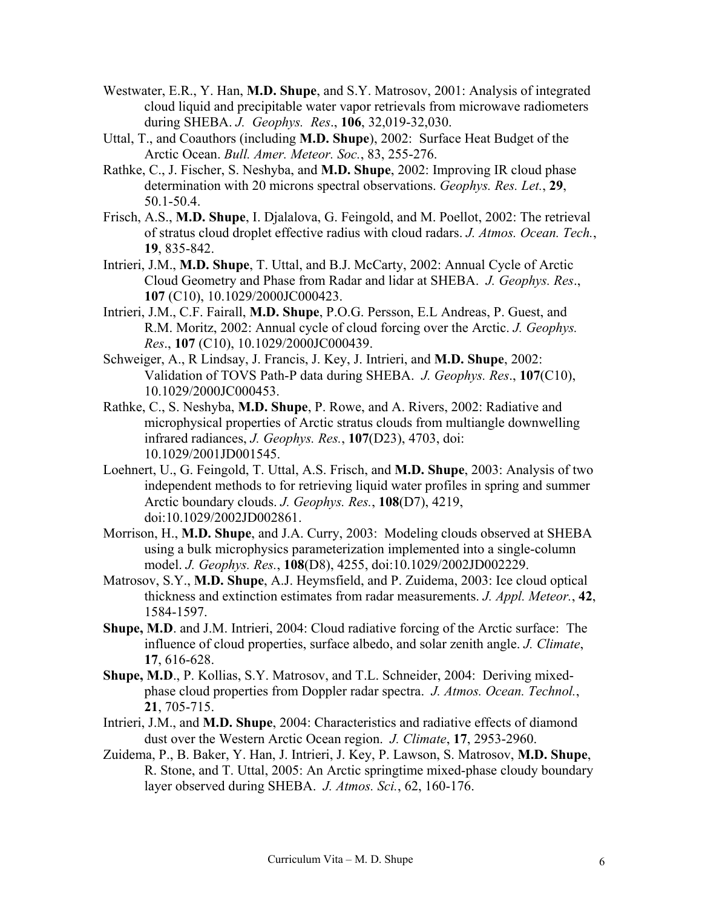- Westwater, E.R., Y. Han, **M.D. Shupe**, and S.Y. Matrosov, 2001: Analysis of integrated cloud liquid and precipitable water vapor retrievals from microwave radiometers during SHEBA. *J. Geophys. Res*., **106**, 32,019-32,030.
- Uttal, T., and Coauthors (including **M.D. Shupe**), 2002: Surface Heat Budget of the Arctic Ocean. *Bull. Amer. Meteor. Soc.*, 83, 255-276.
- Rathke, C., J. Fischer, S. Neshyba, and **M.D. Shupe**, 2002: Improving IR cloud phase determination with 20 microns spectral observations. *Geophys. Res. Let.*, **29**, 50.1-50.4.
- Frisch, A.S., **M.D. Shupe**, I. Djalalova, G. Feingold, and M. Poellot, 2002: The retrieval of stratus cloud droplet effective radius with cloud radars. *J. Atmos. Ocean. Tech.*, **19**, 835-842.
- Intrieri, J.M., **M.D. Shupe**, T. Uttal, and B.J. McCarty, 2002: Annual Cycle of Arctic Cloud Geometry and Phase from Radar and lidar at SHEBA. *J. Geophys. Res*., **107** (C10), 10.1029/2000JC000423.
- Intrieri, J.M., C.F. Fairall, **M.D. Shupe**, P.O.G. Persson, E.L Andreas, P. Guest, and R.M. Moritz, 2002: Annual cycle of cloud forcing over the Arctic. *J. Geophys. Res*., **107** (C10), 10.1029/2000JC000439.
- Schweiger, A., R Lindsay, J. Francis, J. Key, J. Intrieri, and **M.D. Shupe**, 2002: Validation of TOVS Path-P data during SHEBA. *J. Geophys. Res*., **107**(C10), 10.1029/2000JC000453.
- Rathke, C., S. Neshyba, **M.D. Shupe**, P. Rowe, and A. Rivers, 2002: Radiative and microphysical properties of Arctic stratus clouds from multiangle downwelling infrared radiances, *J. Geophys. Res.*, **107**(D23), 4703, doi: 10.1029/2001JD001545.
- Loehnert, U., G. Feingold, T. Uttal, A.S. Frisch, and **M.D. Shupe**, 2003: Analysis of two independent methods to for retrieving liquid water profiles in spring and summer Arctic boundary clouds. *J. Geophys. Res.*, **108**(D7), 4219, doi:10.1029/2002JD002861.
- Morrison, H., **M.D. Shupe**, and J.A. Curry, 2003: Modeling clouds observed at SHEBA using a bulk microphysics parameterization implemented into a single-column model. *J. Geophys. Res.*, **108**(D8), 4255, doi:10.1029/2002JD002229.
- Matrosov, S.Y., **M.D. Shupe**, A.J. Heymsfield, and P. Zuidema, 2003: Ice cloud optical thickness and extinction estimates from radar measurements. *J. Appl. Meteor.*, **42**, 1584-1597.
- **Shupe, M.D**. and J.M. Intrieri, 2004: Cloud radiative forcing of the Arctic surface: The influence of cloud properties, surface albedo, and solar zenith angle. *J. Climate*, **17**, 616-628.
- **Shupe, M.D**., P. Kollias, S.Y. Matrosov, and T.L. Schneider, 2004: Deriving mixedphase cloud properties from Doppler radar spectra. *J. Atmos. Ocean. Technol.*, **21**, 705-715.
- Intrieri, J.M., and **M.D. Shupe**, 2004: Characteristics and radiative effects of diamond dust over the Western Arctic Ocean region. *J. Climate*, **17**, 2953-2960.
- Zuidema, P., B. Baker, Y. Han, J. Intrieri, J. Key, P. Lawson, S. Matrosov, **M.D. Shupe**, R. Stone, and T. Uttal, 2005: An Arctic springtime mixed-phase cloudy boundary layer observed during SHEBA. *J. Atmos. Sci.*, 62, 160-176.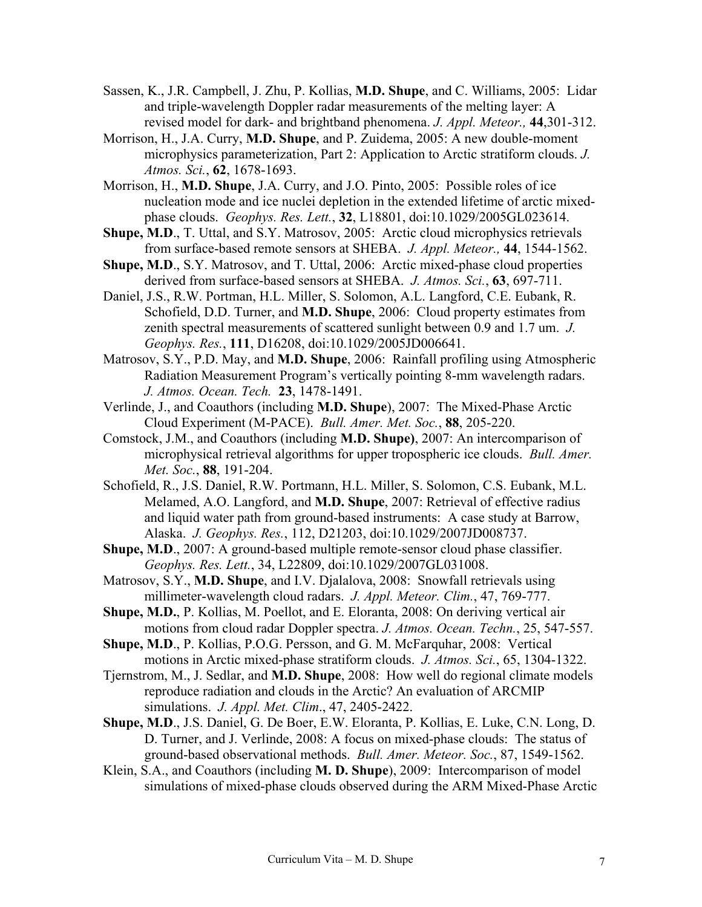- Sassen, K., J.R. Campbell, J. Zhu, P. Kollias, **M.D. Shupe**, and C. Williams, 2005: Lidar and triple-wavelength Doppler radar measurements of the melting layer: A revised model for dark- and brightband phenomena. *J. Appl. Meteor.,* **44**,301-312.
- Morrison, H., J.A. Curry, **M.D. Shupe**, and P. Zuidema, 2005: A new double-moment microphysics parameterization, Part 2: Application to Arctic stratiform clouds. *J. Atmos. Sci.*, **62**, 1678-1693.
- Morrison, H., **M.D. Shupe**, J.A. Curry, and J.O. Pinto, 2005: Possible roles of ice nucleation mode and ice nuclei depletion in the extended lifetime of arctic mixedphase clouds. *Geophys. Res. Lett.*, **32**, L18801, doi:10.1029/2005GL023614.
- **Shupe, M.D., T. Uttal, and S.Y. Matrosov, 2005: Arctic cloud microphysics retrievals** from surface-based remote sensors at SHEBA. *J. Appl. Meteor.,* **44**, 1544-1562.
- **Shupe, M.D., S.Y. Matrosov, and T. Uttal, 2006: Arctic mixed-phase cloud properties** derived from surface-based sensors at SHEBA. *J. Atmos. Sci.*, **63**, 697-711.
- Daniel, J.S., R.W. Portman, H.L. Miller, S. Solomon, A.L. Langford, C.E. Eubank, R. Schofield, D.D. Turner, and **M.D. Shupe**, 2006: Cloud property estimates from zenith spectral measurements of scattered sunlight between 0.9 and 1.7 um. *J. Geophys. Res.*, **111**, D16208, doi:10.1029/2005JD006641.
- Matrosov, S.Y., P.D. May, and **M.D. Shupe**, 2006: Rainfall profiling using Atmospheric Radiation Measurement Program's vertically pointing 8-mm wavelength radars. *J. Atmos. Ocean. Tech.* **23**, 1478-1491.
- Verlinde, J., and Coauthors (including **M.D. Shupe**), 2007: The Mixed-Phase Arctic Cloud Experiment (M-PACE). *Bull. Amer. Met. Soc.*, **88**, 205-220.
- Comstock, J.M., and Coauthors (including **M.D. Shupe)**, 2007: An intercomparison of microphysical retrieval algorithms for upper tropospheric ice clouds. *Bull. Amer. Met. Soc.*, **88**, 191-204.
- Schofield, R., J.S. Daniel, R.W. Portmann, H.L. Miller, S. Solomon, C.S. Eubank, M.L. Melamed, A.O. Langford, and **M.D. Shupe**, 2007: Retrieval of effective radius and liquid water path from ground-based instruments: A case study at Barrow, Alaska. *J. Geophys. Res.*, 112, D21203, doi:10.1029/2007JD008737.
- **Shupe, M.D.**, 2007: A ground-based multiple remote-sensor cloud phase classifier. *Geophys. Res. Lett.*, 34, L22809, doi:10.1029/2007GL031008.
- Matrosov, S.Y., **M.D. Shupe**, and I.V. Djalalova, 2008: Snowfall retrievals using millimeter-wavelength cloud radars. *J. Appl. Meteor. Clim.*, 47, 769-777.
- **Shupe, M.D.**, P. Kollias, M. Poellot, and E. Eloranta, 2008: On deriving vertical air motions from cloud radar Doppler spectra. *J. Atmos. Ocean. Techn.*, 25, 547-557.
- **Shupe, M.D**., P. Kollias, P.O.G. Persson, and G. M. McFarquhar, 2008: Vertical motions in Arctic mixed-phase stratiform clouds. *J. Atmos. Sci.*, 65, 1304-1322.
- Tjernstrom, M., J. Sedlar, and **M.D. Shupe**, 2008: How well do regional climate models reproduce radiation and clouds in the Arctic? An evaluation of ARCMIP simulations. *J. Appl. Met. Clim*., 47, 2405-2422.
- **Shupe, M.D**., J.S. Daniel, G. De Boer, E.W. Eloranta, P. Kollias, E. Luke, C.N. Long, D. D. Turner, and J. Verlinde, 2008: A focus on mixed-phase clouds: The status of ground-based observational methods. *Bull. Amer. Meteor. Soc.*, 87, 1549-1562.
- Klein, S.A., and Coauthors (including **M. D. Shupe**), 2009: Intercomparison of model simulations of mixed-phase clouds observed during the ARM Mixed-Phase Arctic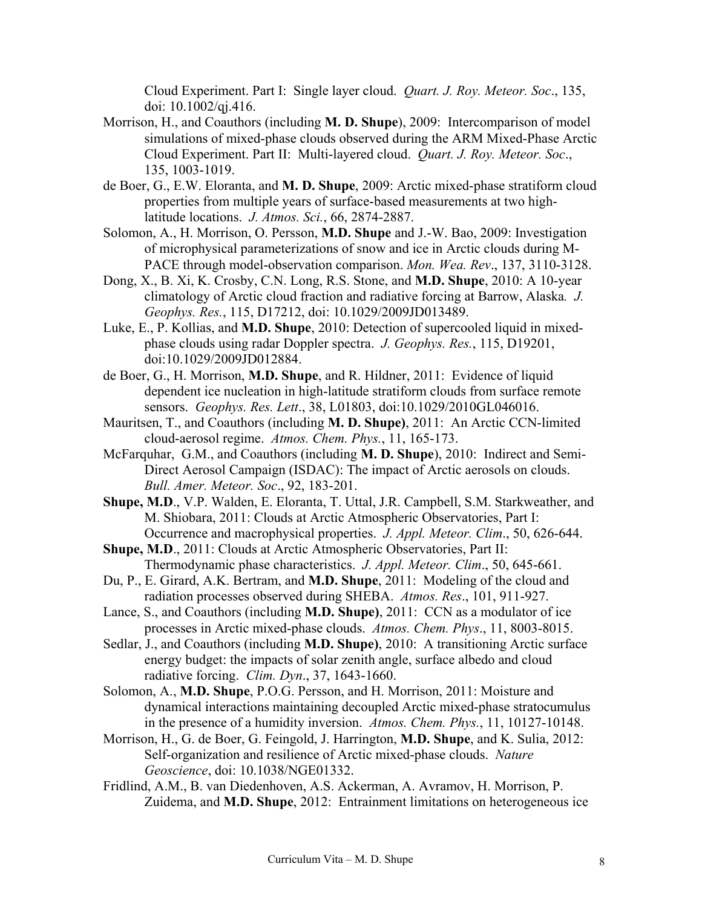Cloud Experiment. Part I: Single layer cloud. *Quart. J. Roy. Meteor. Soc*., 135, doi: 10.1002/qj.416.

- Morrison, H., and Coauthors (including **M. D. Shupe**), 2009: Intercomparison of model simulations of mixed-phase clouds observed during the ARM Mixed-Phase Arctic Cloud Experiment. Part II: Multi-layered cloud. *Quart. J. Roy. Meteor. Soc*., 135, 1003-1019.
- de Boer, G., E.W. Eloranta, and **M. D. Shupe**, 2009: Arctic mixed-phase stratiform cloud properties from multiple years of surface-based measurements at two highlatitude locations. *J. Atmos. Sci.*, 66, 2874-2887.
- Solomon, A., H. Morrison, O. Persson, **M.D. Shupe** and J.-W. Bao, 2009: Investigation of microphysical parameterizations of snow and ice in Arctic clouds during M-PACE through model-observation comparison. *Mon. Wea. Rev*., 137, 3110-3128.
- Dong, X., B. Xi, K. Crosby, C.N. Long, R.S. Stone, and **M.D. Shupe**, 2010: A 10-year climatology of Arctic cloud fraction and radiative forcing at Barrow, Alaska*. J. Geophys. Res.*, 115, D17212, doi: 10.1029/2009JD013489.
- Luke, E., P. Kollias, and **M.D. Shupe**, 2010: Detection of supercooled liquid in mixedphase clouds using radar Doppler spectra. *J. Geophys. Res.*, 115, D19201, doi:10.1029/2009JD012884.
- de Boer, G., H. Morrison, **M.D. Shupe**, and R. Hildner, 2011: Evidence of liquid dependent ice nucleation in high-latitude stratiform clouds from surface remote sensors. *Geophys. Res. Lett*., 38, L01803, doi:10.1029/2010GL046016.
- Mauritsen, T., and Coauthors (including **M. D. Shupe)**, 2011: An Arctic CCN-limited cloud-aerosol regime. *Atmos. Chem. Phys.*, 11, 165-173.
- McFarquhar, G.M., and Coauthors (including **M. D. Shupe**), 2010: Indirect and Semi-Direct Aerosol Campaign (ISDAC): The impact of Arctic aerosols on clouds. *Bull. Amer. Meteor. Soc*., 92, 183-201.
- **Shupe, M.D**., V.P. Walden, E. Eloranta, T. Uttal, J.R. Campbell, S.M. Starkweather, and M. Shiobara, 2011: Clouds at Arctic Atmospheric Observatories, Part I: Occurrence and macrophysical properties. *J. Appl. Meteor. Clim*., 50, 626-644.
- **Shupe, M.D**., 2011: Clouds at Arctic Atmospheric Observatories, Part II: Thermodynamic phase characteristics. *J. Appl. Meteor. Clim*., 50, 645-661.
- Du, P., E. Girard, A.K. Bertram, and **M.D. Shupe**, 2011: Modeling of the cloud and radiation processes observed during SHEBA. *Atmos. Res*., 101, 911-927.
- Lance, S., and Coauthors (including **M.D. Shupe)**, 2011: CCN as a modulator of ice processes in Arctic mixed-phase clouds. *Atmos. Chem. Phys*., 11, 8003-8015.
- Sedlar, J., and Coauthors (including **M.D. Shupe)**, 2010: A transitioning Arctic surface energy budget: the impacts of solar zenith angle, surface albedo and cloud radiative forcing. *Clim. Dyn*., 37, 1643-1660.
- Solomon, A., **M.D. Shupe**, P.O.G. Persson, and H. Morrison, 2011: Moisture and dynamical interactions maintaining decoupled Arctic mixed-phase stratocumulus in the presence of a humidity inversion. *Atmos. Chem. Phys.*, 11, 10127-10148.
- Morrison, H., G. de Boer, G. Feingold, J. Harrington, **M.D. Shupe**, and K. Sulia, 2012: Self-organization and resilience of Arctic mixed-phase clouds. *Nature Geoscience*, doi: 10.1038/NGE01332.
- Fridlind, A.M., B. van Diedenhoven, A.S. Ackerman, A. Avramov, H. Morrison, P. Zuidema, and **M.D. Shupe**, 2012: Entrainment limitations on heterogeneous ice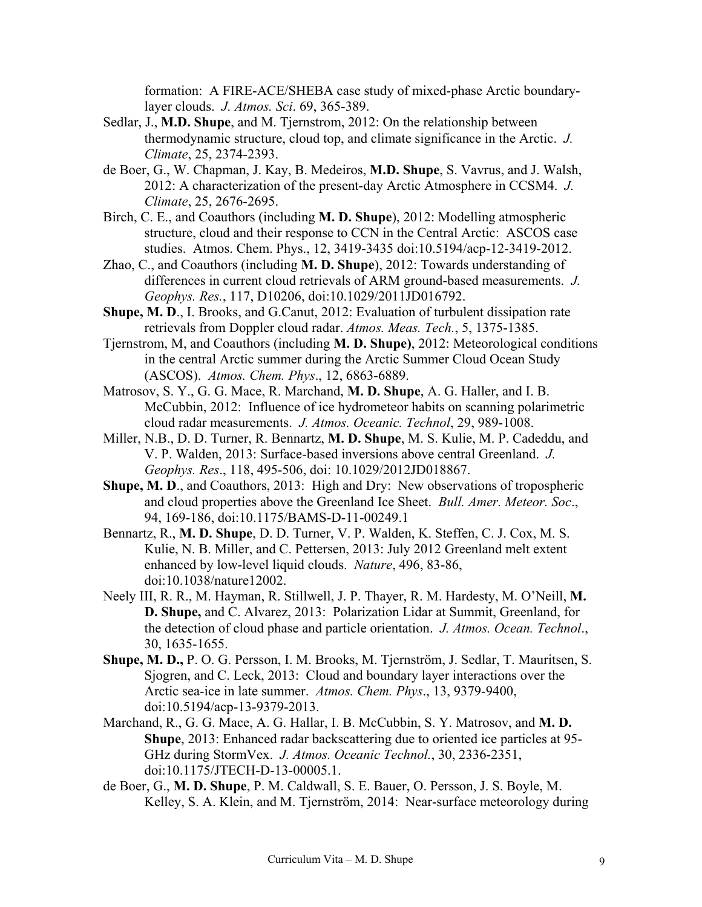formation: A FIRE-ACE/SHEBA case study of mixed-phase Arctic boundarylayer clouds. *J. Atmos. Sci*. 69, 365-389.

- Sedlar, J., **M.D. Shupe**, and M. Tjernstrom, 2012: On the relationship between thermodynamic structure, cloud top, and climate significance in the Arctic. *J. Climate*, 25, 2374-2393.
- de Boer, G., W. Chapman, J. Kay, B. Medeiros, **M.D. Shupe**, S. Vavrus, and J. Walsh, 2012: A characterization of the present-day Arctic Atmosphere in CCSM4. *J. Climate*, 25, 2676-2695.
- Birch, C. E., and Coauthors (including **M. D. Shupe**), 2012: Modelling atmospheric structure, cloud and their response to CCN in the Central Arctic: ASCOS case studies. Atmos. Chem. Phys., 12, 3419-3435 doi:10.5194/acp-12-3419-2012.
- Zhao, C., and Coauthors (including **M. D. Shupe**), 2012: Towards understanding of differences in current cloud retrievals of ARM ground-based measurements. *J. Geophys. Res.*, 117, D10206, doi:10.1029/2011JD016792.
- **Shupe, M. D**., I. Brooks, and G.Canut, 2012: Evaluation of turbulent dissipation rate retrievals from Doppler cloud radar. *Atmos. Meas. Tech.*, 5, 1375-1385.
- Tjernstrom, M, and Coauthors (including **M. D. Shupe)**, 2012: Meteorological conditions in the central Arctic summer during the Arctic Summer Cloud Ocean Study (ASCOS). *Atmos. Chem. Phys*., 12, 6863-6889.
- Matrosov, S. Y., G. G. Mace, R. Marchand, **M. D. Shupe**, A. G. Haller, and I. B. McCubbin, 2012: Influence of ice hydrometeor habits on scanning polarimetric cloud radar measurements. *J. Atmos. Oceanic. Technol*, 29, 989-1008.
- Miller, N.B., D. D. Turner, R. Bennartz, **M. D. Shupe**, M. S. Kulie, M. P. Cadeddu, and V. P. Walden, 2013: Surface-based inversions above central Greenland. *J. Geophys. Res*., 118, 495-506, doi: 10.1029/2012JD018867.
- **Shupe, M. D., and Coauthors, 2013: High and Dry: New observations of tropospheric** and cloud properties above the Greenland Ice Sheet. *Bull. Amer. Meteor. Soc*., 94, 169-186, doi:10.1175/BAMS-D-11-00249.1
- Bennartz, R., **M. D. Shupe**, D. D. Turner, V. P. Walden, K. Steffen, C. J. Cox, M. S. Kulie, N. B. Miller, and C. Pettersen, 2013: July 2012 Greenland melt extent enhanced by low-level liquid clouds. *Nature*, 496, 83-86, doi:10.1038/nature12002.
- Neely III, R. R., M. Hayman, R. Stillwell, J. P. Thayer, R. M. Hardesty, M. O'Neill, **M. D. Shupe,** and C. Alvarez, 2013: Polarization Lidar at Summit, Greenland, for the detection of cloud phase and particle orientation. *J. Atmos. Ocean. Technol*., 30, 1635-1655.
- **Shupe, M. D.,** P. O. G. Persson, I. M. Brooks, M. Tjernström, J. Sedlar, T. Mauritsen, S. Sjogren, and C. Leck, 2013: Cloud and boundary layer interactions over the Arctic sea-ice in late summer. *Atmos. Chem. Phys*., 13, 9379-9400, doi:10.5194/acp-13-9379-2013.
- Marchand, R., G. G. Mace, A. G. Hallar, I. B. McCubbin, S. Y. Matrosov, and **M. D. Shupe**, 2013: Enhanced radar backscattering due to oriented ice particles at 95- GHz during StormVex. *J. Atmos. Oceanic Technol.*, 30, 2336-2351, doi:10.1175/JTECH-D-13-00005.1.
- de Boer, G., **M. D. Shupe**, P. M. Caldwall, S. E. Bauer, O. Persson, J. S. Boyle, M. Kelley, S. A. Klein, and M. Tjernström, 2014: Near-surface meteorology during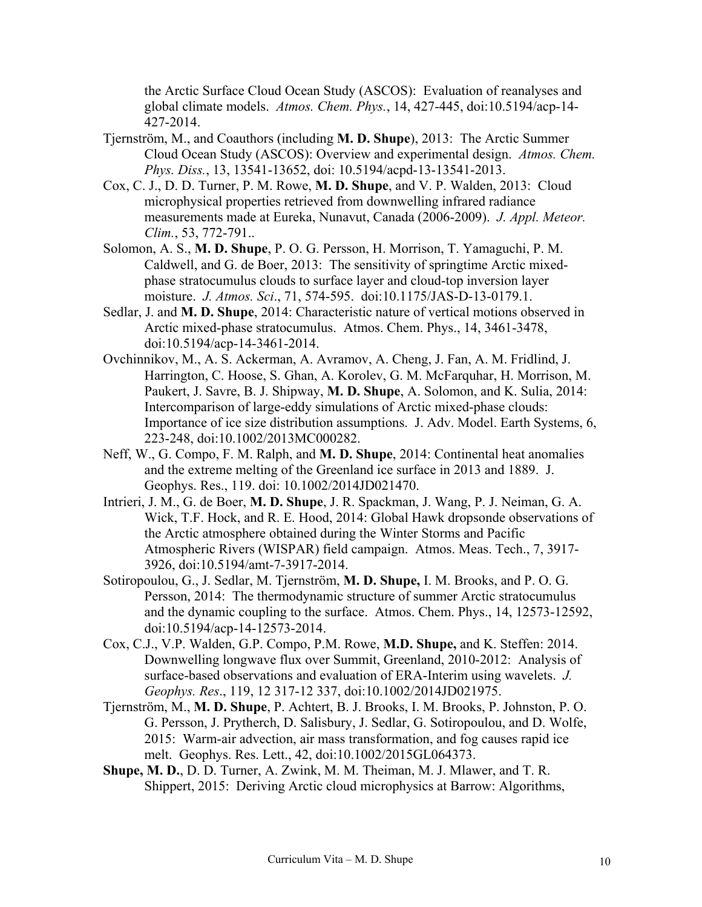the Arctic Surface Cloud Ocean Study (ASCOS): Evaluation of reanalyses and global climate models. *Atmos. Chem. Phys.*, 14, 427-445, doi:10.5194/acp-14- 427-2014.

- Tjernström, M., and Coauthors (including **M. D. Shupe**), 2013: The Arctic Summer Cloud Ocean Study (ASCOS): Overview and experimental design. *Atmos. Chem. Phys. Diss.*, 13, 13541-13652, doi: 10.5194/acpd-13-13541-2013.
- Cox, C. J., D. D. Turner, P. M. Rowe, **M. D. Shupe**, and V. P. Walden, 2013: Cloud microphysical properties retrieved from downwelling infrared radiance measurements made at Eureka, Nunavut, Canada (2006-2009). *J. Appl. Meteor. Clim.*, 53, 772-791..
- Solomon, A. S., **M. D. Shupe**, P. O. G. Persson, H. Morrison, T. Yamaguchi, P. M. Caldwell, and G. de Boer, 2013: The sensitivity of springtime Arctic mixedphase stratocumulus clouds to surface layer and cloud-top inversion layer moisture. *J. Atmos. Sci*., 71, 574-595. doi:10.1175/JAS-D-13-0179.1.
- Sedlar, J. and **M. D. Shupe**, 2014: Characteristic nature of vertical motions observed in Arctic mixed-phase stratocumulus. Atmos. Chem. Phys., 14, 3461-3478, doi:10.5194/acp-14-3461-2014.
- Ovchinnikov, M., A. S. Ackerman, A. Avramov, A. Cheng, J. Fan, A. M. Fridlind, J. Harrington, C. Hoose, S. Ghan, A. Korolev, G. M. McFarquhar, H. Morrison, M. Paukert, J. Savre, B. J. Shipway, **M. D. Shupe**, A. Solomon, and K. Sulia, 2014: Intercomparison of large-eddy simulations of Arctic mixed-phase clouds: Importance of ice size distribution assumptions. J. Adv. Model. Earth Systems, 6, 223-248, doi:10.1002/2013MC000282.
- Neff, W., G. Compo, F. M. Ralph, and **M. D. Shupe**, 2014: Continental heat anomalies and the extreme melting of the Greenland ice surface in 2013 and 1889. J. Geophys. Res., 119. doi: 10.1002/2014JD021470.
- Intrieri, J. M., G. de Boer, **M. D. Shupe**, J. R. Spackman, J. Wang, P. J. Neiman, G. A. Wick, T.F. Hock, and R. E. Hood, 2014: Global Hawk dropsonde observations of the Arctic atmosphere obtained during the Winter Storms and Pacific Atmospheric Rivers (WISPAR) field campaign. Atmos. Meas. Tech., 7, 3917- 3926, doi:10.5194/amt-7-3917-2014.
- Sotiropoulou, G., J. Sedlar, M. Tjernström, **M. D. Shupe,** I. M. Brooks, and P. O. G. Persson, 2014: The thermodynamic structure of summer Arctic stratocumulus and the dynamic coupling to the surface. Atmos. Chem. Phys., 14, 12573-12592, doi:10.5194/acp-14-12573-2014.
- Cox, C.J., V.P. Walden, G.P. Compo, P.M. Rowe, **M.D. Shupe,** and K. Steffen: 2014. Downwelling longwave flux over Summit, Greenland, 2010-2012: Analysis of surface-based observations and evaluation of ERA-Interim using wavelets. *J. Geophys. Res*., 119, 12 317-12 337, doi:10.1002/2014JD021975.
- Tjernström, M., **M. D. Shupe**, P. Achtert, B. J. Brooks, I. M. Brooks, P. Johnston, P. O. G. Persson, J. Prytherch, D. Salisbury, J. Sedlar, G. Sotiropoulou, and D. Wolfe, 2015: Warm-air advection, air mass transformation, and fog causes rapid ice melt. Geophys. Res. Lett., 42, doi:10.1002/2015GL064373.
- **Shupe, M. D.**, D. D. Turner, A. Zwink, M. M. Theiman, M. J. Mlawer, and T. R. Shippert, 2015: Deriving Arctic cloud microphysics at Barrow: Algorithms,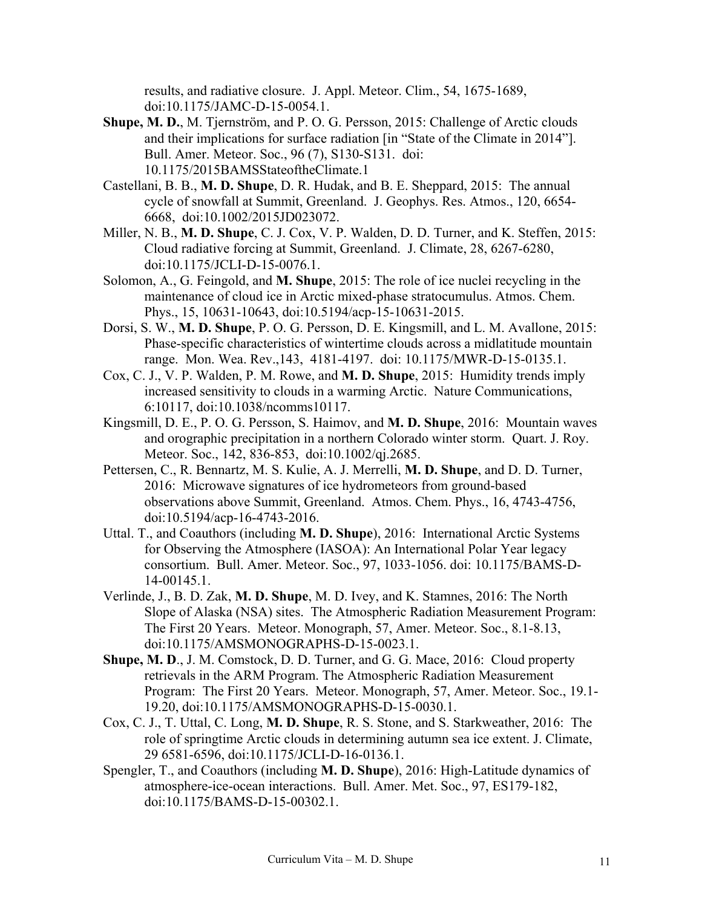results, and radiative closure. J. Appl. Meteor. Clim., 54, 1675-1689, doi:10.1175/JAMC-D-15-0054.1.

- **Shupe, M. D.**, M. Tjernström, and P. O. G. Persson, 2015: Challenge of Arctic clouds and their implications for surface radiation [in "State of the Climate in 2014"]. Bull. Amer. Meteor. Soc., 96 (7), S130-S131. doi: 10.1175/2015BAMSStateoftheClimate.1
- Castellani, B. B., **M. D. Shupe**, D. R. Hudak, and B. E. Sheppard, 2015: The annual cycle of snowfall at Summit, Greenland. J. Geophys. Res. Atmos., 120, 6654- 6668, doi:10.1002/2015JD023072.
- Miller, N. B., **M. D. Shupe**, C. J. Cox, V. P. Walden, D. D. Turner, and K. Steffen, 2015: Cloud radiative forcing at Summit, Greenland. J. Climate, 28, 6267-6280, doi:10.1175/JCLI-D-15-0076.1.
- Solomon, A., G. Feingold, and **M. Shupe**, 2015: The role of ice nuclei recycling in the maintenance of cloud ice in Arctic mixed-phase stratocumulus. Atmos. Chem. Phys., 15, 10631-10643, doi:10.5194/acp-15-10631-2015.
- Dorsi, S. W., **M. D. Shupe**, P. O. G. Persson, D. E. Kingsmill, and L. M. Avallone, 2015: Phase-specific characteristics of wintertime clouds across a midlatitude mountain range. Mon. Wea. Rev.,143, 4181-4197. doi: 10.1175/MWR-D-15-0135.1.
- Cox, C. J., V. P. Walden, P. M. Rowe, and **M. D. Shupe**, 2015: Humidity trends imply increased sensitivity to clouds in a warming Arctic. Nature Communications, 6:10117, doi:10.1038/ncomms10117.
- Kingsmill, D. E., P. O. G. Persson, S. Haimov, and **M. D. Shupe**, 2016: Mountain waves and orographic precipitation in a northern Colorado winter storm. Quart. J. Roy. Meteor. Soc., 142, 836-853, doi:10.1002/qj.2685.
- Pettersen, C., R. Bennartz, M. S. Kulie, A. J. Merrelli, **M. D. Shupe**, and D. D. Turner, 2016: Microwave signatures of ice hydrometeors from ground-based observations above Summit, Greenland. Atmos. Chem. Phys., 16, 4743-4756, doi:10.5194/acp-16-4743-2016.
- Uttal. T., and Coauthors (including **M. D. Shupe**), 2016: International Arctic Systems for Observing the Atmosphere (IASOA): An International Polar Year legacy consortium. Bull. Amer. Meteor. Soc., 97, 1033-1056. doi: 10.1175/BAMS-D-14-00145.1.
- Verlinde, J., B. D. Zak, **M. D. Shupe**, M. D. Ivey, and K. Stamnes, 2016: The North Slope of Alaska (NSA) sites. The Atmospheric Radiation Measurement Program: The First 20 Years. Meteor. Monograph, 57, Amer. Meteor. Soc., 8.1-8.13, doi:10.1175/AMSMONOGRAPHS-D-15-0023.1.
- **Shupe, M. D**., J. M. Comstock, D. D. Turner, and G. G. Mace, 2016: Cloud property retrievals in the ARM Program. The Atmospheric Radiation Measurement Program: The First 20 Years. Meteor. Monograph, 57, Amer. Meteor. Soc., 19.1- 19.20, doi:10.1175/AMSMONOGRAPHS-D-15-0030.1.
- Cox, C. J., T. Uttal, C. Long, **M. D. Shupe**, R. S. Stone, and S. Starkweather, 2016: The role of springtime Arctic clouds in determining autumn sea ice extent. J. Climate, 29 6581-6596, doi:10.1175/JCLI-D-16-0136.1.
- Spengler, T., and Coauthors (including **M. D. Shupe**), 2016: High-Latitude dynamics of atmosphere-ice-ocean interactions. Bull. Amer. Met. Soc., 97, ES179-182, doi:10.1175/BAMS-D-15-00302.1.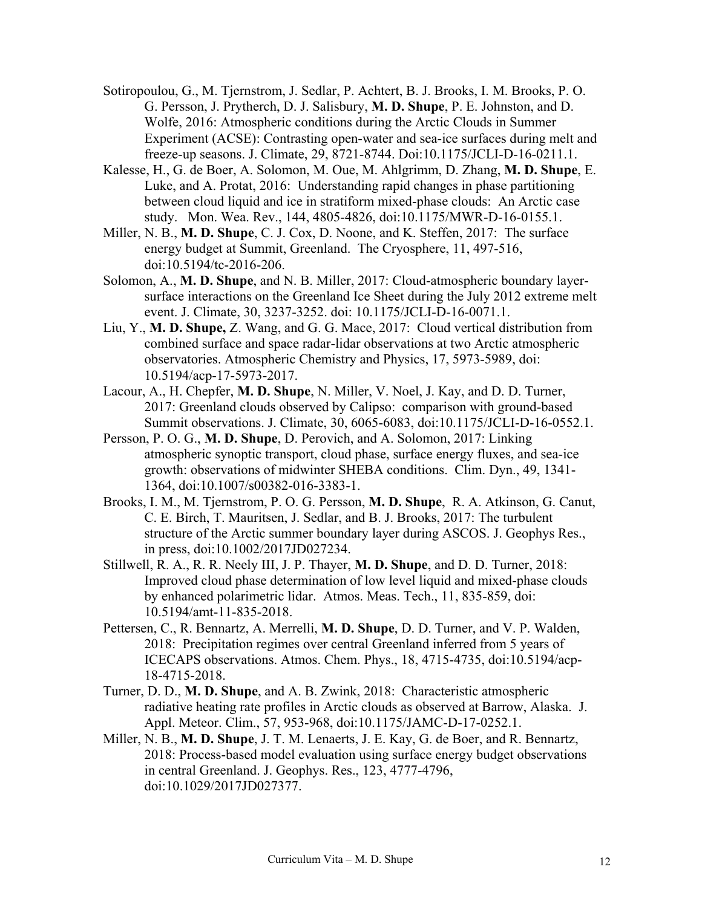- Sotiropoulou, G., M. Tjernstrom, J. Sedlar, P. Achtert, B. J. Brooks, I. M. Brooks, P. O. G. Persson, J. Prytherch, D. J. Salisbury, **M. D. Shupe**, P. E. Johnston, and D. Wolfe, 2016: Atmospheric conditions during the Arctic Clouds in Summer Experiment (ACSE): Contrasting open-water and sea-ice surfaces during melt and freeze-up seasons. J. Climate, 29, 8721-8744. Doi:10.1175/JCLI-D-16-0211.1.
- Kalesse, H., G. de Boer, A. Solomon, M. Oue, M. Ahlgrimm, D. Zhang, **M. D. Shupe**, E. Luke, and A. Protat, 2016: Understanding rapid changes in phase partitioning between cloud liquid and ice in stratiform mixed-phase clouds: An Arctic case study. Mon. Wea. Rev., 144, 4805-4826, doi:10.1175/MWR-D-16-0155.1.
- Miller, N. B., **M. D. Shupe**, C. J. Cox, D. Noone, and K. Steffen, 2017: The surface energy budget at Summit, Greenland. The Cryosphere, 11, 497-516, doi:10.5194/tc-2016-206.
- Solomon, A., **M. D. Shupe**, and N. B. Miller, 2017: Cloud-atmospheric boundary layersurface interactions on the Greenland Ice Sheet during the July 2012 extreme melt event. J. Climate, 30, 3237-3252. doi: 10.1175/JCLI-D-16-0071.1.
- Liu, Y., **M. D. Shupe,** Z. Wang, and G. G. Mace, 2017: Cloud vertical distribution from combined surface and space radar-lidar observations at two Arctic atmospheric observatories. Atmospheric Chemistry and Physics, 17, 5973-5989, doi: 10.5194/acp-17-5973-2017.
- Lacour, A., H. Chepfer, **M. D. Shupe**, N. Miller, V. Noel, J. Kay, and D. D. Turner, 2017: Greenland clouds observed by Calipso: comparison with ground-based Summit observations. J. Climate, 30, 6065-6083, doi:10.1175/JCLI-D-16-0552.1.
- Persson, P. O. G., **M. D. Shupe**, D. Perovich, and A. Solomon, 2017: Linking atmospheric synoptic transport, cloud phase, surface energy fluxes, and sea-ice growth: observations of midwinter SHEBA conditions. Clim. Dyn., 49, 1341- 1364, doi:10.1007/s00382-016-3383-1.
- Brooks, I. M., M. Tjernstrom, P. O. G. Persson, **M. D. Shupe**, R. A. Atkinson, G. Canut, C. E. Birch, T. Mauritsen, J. Sedlar, and B. J. Brooks, 2017: The turbulent structure of the Arctic summer boundary layer during ASCOS. J. Geophys Res., in press, doi:10.1002/2017JD027234.
- Stillwell, R. A., R. R. Neely III, J. P. Thayer, **M. D. Shupe**, and D. D. Turner, 2018: Improved cloud phase determination of low level liquid and mixed-phase clouds by enhanced polarimetric lidar. Atmos. Meas. Tech., 11, 835-859, doi: 10.5194/amt-11-835-2018.
- Pettersen, C., R. Bennartz, A. Merrelli, **M. D. Shupe**, D. D. Turner, and V. P. Walden, 2018: Precipitation regimes over central Greenland inferred from 5 years of ICECAPS observations. Atmos. Chem. Phys., 18, 4715-4735, doi:10.5194/acp-18-4715-2018.
- Turner, D. D., **M. D. Shupe**, and A. B. Zwink, 2018: Characteristic atmospheric radiative heating rate profiles in Arctic clouds as observed at Barrow, Alaska. J. Appl. Meteor. Clim., 57, 953-968, doi:10.1175/JAMC-D-17-0252.1.
- Miller, N. B., **M. D. Shupe**, J. T. M. Lenaerts, J. E. Kay, G. de Boer, and R. Bennartz, 2018: Process-based model evaluation using surface energy budget observations in central Greenland. J. Geophys. Res., 123, 4777-4796, doi:10.1029/2017JD027377.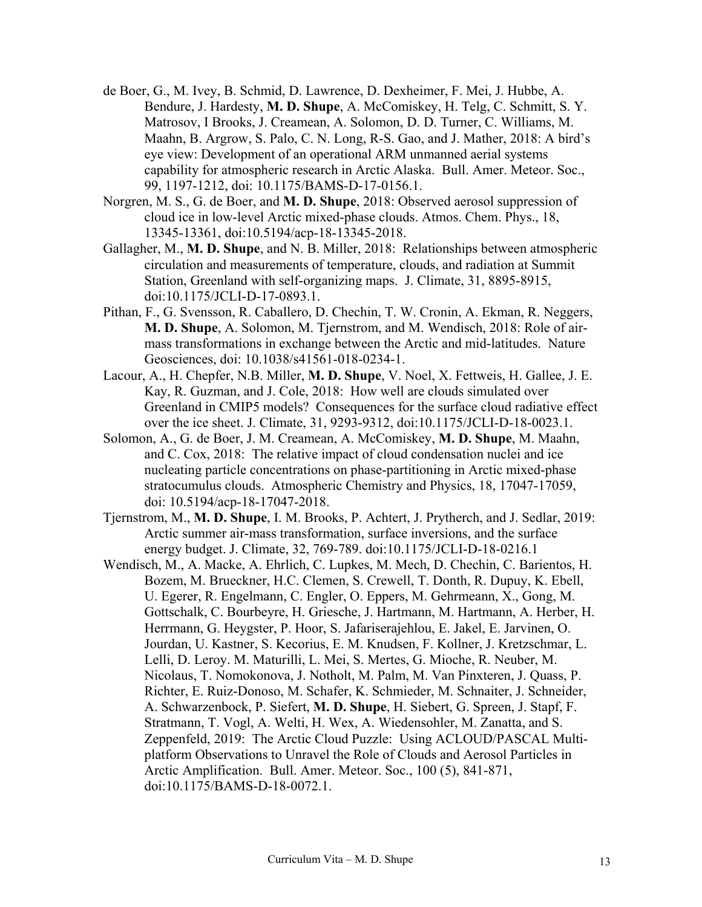- de Boer, G., M. Ivey, B. Schmid, D. Lawrence, D. Dexheimer, F. Mei, J. Hubbe, A. Bendure, J. Hardesty, **M. D. Shupe**, A. McComiskey, H. Telg, C. Schmitt, S. Y. Matrosov, I Brooks, J. Creamean, A. Solomon, D. D. Turner, C. Williams, M. Maahn, B. Argrow, S. Palo, C. N. Long, R-S. Gao, and J. Mather, 2018: A bird's eye view: Development of an operational ARM unmanned aerial systems capability for atmospheric research in Arctic Alaska. Bull. Amer. Meteor. Soc., 99, 1197-1212, doi: 10.1175/BAMS-D-17-0156.1.
- Norgren, M. S., G. de Boer, and **M. D. Shupe**, 2018: Observed aerosol suppression of cloud ice in low-level Arctic mixed-phase clouds. Atmos. Chem. Phys., 18, 13345-13361, doi:10.5194/acp-18-13345-2018.
- Gallagher, M., **M. D. Shupe**, and N. B. Miller, 2018: Relationships between atmospheric circulation and measurements of temperature, clouds, and radiation at Summit Station, Greenland with self-organizing maps. J. Climate, 31, 8895-8915, doi:10.1175/JCLI-D-17-0893.1.
- Pithan, F., G. Svensson, R. Caballero, D. Chechin, T. W. Cronin, A. Ekman, R. Neggers, **M. D. Shupe**, A. Solomon, M. Tjernstrom, and M. Wendisch, 2018: Role of airmass transformations in exchange between the Arctic and mid-latitudes. Nature Geosciences, doi: 10.1038/s41561-018-0234-1.
- Lacour, A., H. Chepfer, N.B. Miller, **M. D. Shupe**, V. Noel, X. Fettweis, H. Gallee, J. E. Kay, R. Guzman, and J. Cole, 2018: How well are clouds simulated over Greenland in CMIP5 models? Consequences for the surface cloud radiative effect over the ice sheet. J. Climate, 31, 9293-9312, doi:10.1175/JCLI-D-18-0023.1.
- Solomon, A., G. de Boer, J. M. Creamean, A. McComiskey, **M. D. Shupe**, M. Maahn, and C. Cox, 2018: The relative impact of cloud condensation nuclei and ice nucleating particle concentrations on phase-partitioning in Arctic mixed-phase stratocumulus clouds. Atmospheric Chemistry and Physics, 18, 17047-17059, doi: 10.5194/acp-18-17047-2018.
- Tjernstrom, M., **M. D. Shupe**, I. M. Brooks, P. Achtert, J. Prytherch, and J. Sedlar, 2019: Arctic summer air-mass transformation, surface inversions, and the surface energy budget. J. Climate, 32, 769-789. doi:10.1175/JCLI-D-18-0216.1
- Wendisch, M., A. Macke, A. Ehrlich, C. Lupkes, M. Mech, D. Chechin, C. Barientos, H. Bozem, M. Brueckner, H.C. Clemen, S. Crewell, T. Donth, R. Dupuy, K. Ebell, U. Egerer, R. Engelmann, C. Engler, O. Eppers, M. Gehrmeann, X., Gong, M. Gottschalk, C. Bourbeyre, H. Griesche, J. Hartmann, M. Hartmann, A. Herber, H. Herrmann, G. Heygster, P. Hoor, S. Jafariserajehlou, E. Jakel, E. Jarvinen, O. Jourdan, U. Kastner, S. Kecorius, E. M. Knudsen, F. Kollner, J. Kretzschmar, L. Lelli, D. Leroy. M. Maturilli, L. Mei, S. Mertes, G. Mioche, R. Neuber, M. Nicolaus, T. Nomokonova, J. Notholt, M. Palm, M. Van Pinxteren, J. Quass, P. Richter, E. Ruiz-Donoso, M. Schafer, K. Schmieder, M. Schnaiter, J. Schneider, A. Schwarzenbock, P. Siefert, **M. D. Shupe**, H. Siebert, G. Spreen, J. Stapf, F. Stratmann, T. Vogl, A. Welti, H. Wex, A. Wiedensohler, M. Zanatta, and S. Zeppenfeld, 2019: The Arctic Cloud Puzzle: Using ACLOUD/PASCAL Multiplatform Observations to Unravel the Role of Clouds and Aerosol Particles in Arctic Amplification. Bull. Amer. Meteor. Soc., 100 (5), 841-871, doi:10.1175/BAMS-D-18-0072.1.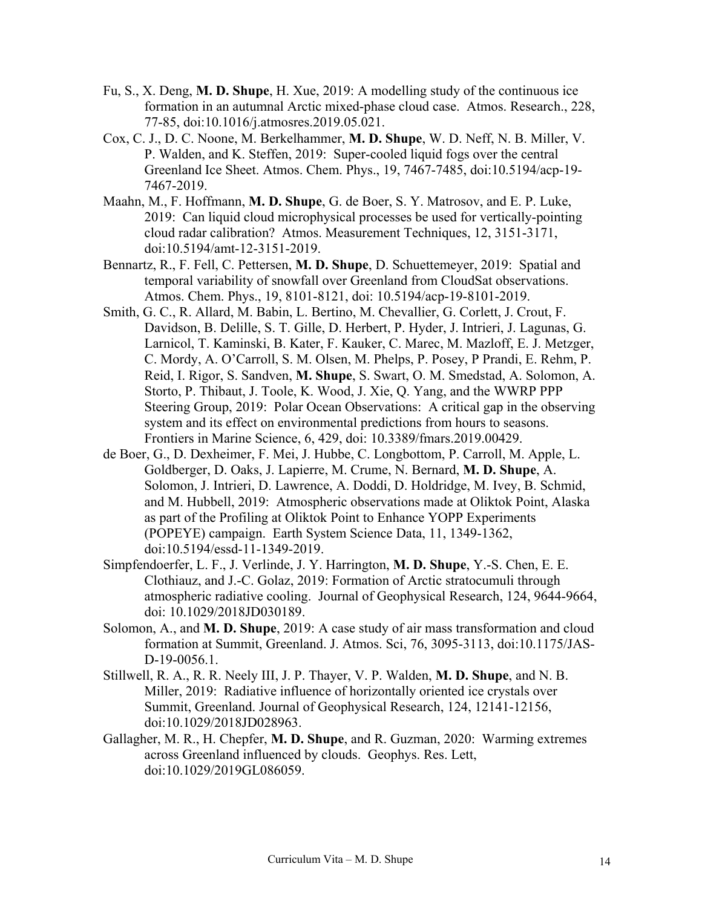- Fu, S., X. Deng, **M. D. Shupe**, H. Xue, 2019: A modelling study of the continuous ice formation in an autumnal Arctic mixed-phase cloud case. Atmos. Research., 228, 77-85, doi:10.1016/j.atmosres.2019.05.021.
- Cox, C. J., D. C. Noone, M. Berkelhammer, **M. D. Shupe**, W. D. Neff, N. B. Miller, V. P. Walden, and K. Steffen, 2019: Super-cooled liquid fogs over the central Greenland Ice Sheet. Atmos. Chem. Phys., 19, 7467-7485, doi:10.5194/acp-19- 7467-2019.
- Maahn, M., F. Hoffmann, **M. D. Shupe**, G. de Boer, S. Y. Matrosov, and E. P. Luke, 2019: Can liquid cloud microphysical processes be used for vertically-pointing cloud radar calibration? Atmos. Measurement Techniques, 12, 3151-3171, doi:10.5194/amt-12-3151-2019.
- Bennartz, R., F. Fell, C. Pettersen, **M. D. Shupe**, D. Schuettemeyer, 2019: Spatial and temporal variability of snowfall over Greenland from CloudSat observations. Atmos. Chem. Phys., 19, 8101-8121, doi: 10.5194/acp-19-8101-2019.
- Smith, G. C., R. Allard, M. Babin, L. Bertino, M. Chevallier, G. Corlett, J. Crout, F. Davidson, B. Delille, S. T. Gille, D. Herbert, P. Hyder, J. Intrieri, J. Lagunas, G. Larnicol, T. Kaminski, B. Kater, F. Kauker, C. Marec, M. Mazloff, E. J. Metzger, C. Mordy, A. O'Carroll, S. M. Olsen, M. Phelps, P. Posey, P Prandi, E. Rehm, P. Reid, I. Rigor, S. Sandven, **M. Shupe**, S. Swart, O. M. Smedstad, A. Solomon, A. Storto, P. Thibaut, J. Toole, K. Wood, J. Xie, Q. Yang, and the WWRP PPP Steering Group, 2019: Polar Ocean Observations: A critical gap in the observing system and its effect on environmental predictions from hours to seasons. Frontiers in Marine Science, 6, 429, doi: 10.3389/fmars.2019.00429.
- de Boer, G., D. Dexheimer, F. Mei, J. Hubbe, C. Longbottom, P. Carroll, M. Apple, L. Goldberger, D. Oaks, J. Lapierre, M. Crume, N. Bernard, **M. D. Shupe**, A. Solomon, J. Intrieri, D. Lawrence, A. Doddi, D. Holdridge, M. Ivey, B. Schmid, and M. Hubbell, 2019: Atmospheric observations made at Oliktok Point, Alaska as part of the Profiling at Oliktok Point to Enhance YOPP Experiments (POPEYE) campaign. Earth System Science Data, 11, 1349-1362, doi:10.5194/essd-11-1349-2019.
- Simpfendoerfer, L. F., J. Verlinde, J. Y. Harrington, **M. D. Shupe**, Y.-S. Chen, E. E. Clothiauz, and J.-C. Golaz, 2019: Formation of Arctic stratocumuli through atmospheric radiative cooling. Journal of Geophysical Research, 124, 9644-9664, doi: 10.1029/2018JD030189.
- Solomon, A., and **M. D. Shupe**, 2019: A case study of air mass transformation and cloud formation at Summit, Greenland. J. Atmos. Sci, 76, 3095-3113, doi:10.1175/JAS-D-19-0056.1.
- Stillwell, R. A., R. R. Neely III, J. P. Thayer, V. P. Walden, **M. D. Shupe**, and N. B. Miller, 2019: Radiative influence of horizontally oriented ice crystals over Summit, Greenland. Journal of Geophysical Research, 124, 12141-12156, doi:10.1029/2018JD028963.
- Gallagher, M. R., H. Chepfer, **M. D. Shupe**, and R. Guzman, 2020: Warming extremes across Greenland influenced by clouds. Geophys. Res. Lett, doi:10.1029/2019GL086059.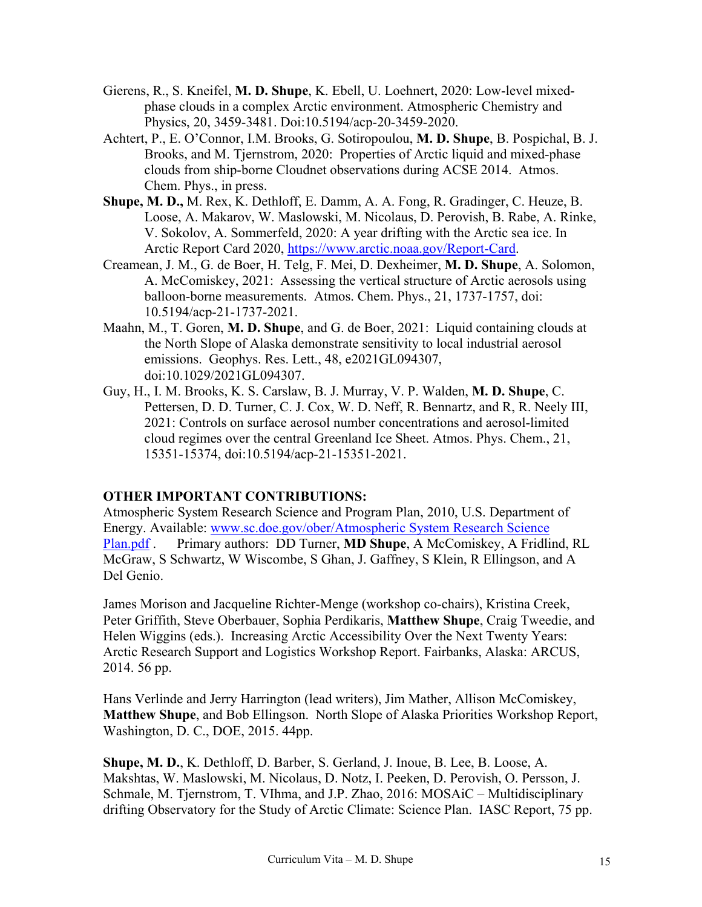- Gierens, R., S. Kneifel, **M. D. Shupe**, K. Ebell, U. Loehnert, 2020: Low-level mixedphase clouds in a complex Arctic environment. Atmospheric Chemistry and Physics, 20, 3459-3481. Doi:10.5194/acp-20-3459-2020.
- Achtert, P., E. O'Connor, I.M. Brooks, G. Sotiropoulou, **M. D. Shupe**, B. Pospichal, B. J. Brooks, and M. Tjernstrom, 2020: Properties of Arctic liquid and mixed-phase clouds from ship-borne Cloudnet observations during ACSE 2014. Atmos. Chem. Phys., in press.
- **Shupe, M. D.,** M. Rex, K. Dethloff, E. Damm, A. A. Fong, R. Gradinger, C. Heuze, B. Loose, A. Makarov, W. Maslowski, M. Nicolaus, D. Perovish, B. Rabe, A. Rinke, V. Sokolov, A. Sommerfeld, 2020: A year drifting with the Arctic sea ice. In Arctic Report Card 2020, [https://www.arctic.noaa.gov/Report-Card.](https://www.arctic.noaa.gov/Report-Card)
- Creamean, J. M., G. de Boer, H. Telg, F. Mei, D. Dexheimer, **M. D. Shupe**, A. Solomon, A. McComiskey, 2021: Assessing the vertical structure of Arctic aerosols using balloon-borne measurements. Atmos. Chem. Phys., 21, 1737-1757, doi: 10.5194/acp-21-1737-2021.
- Maahn, M., T. Goren, **M. D. Shupe**, and G. de Boer, 2021: Liquid containing clouds at the North Slope of Alaska demonstrate sensitivity to local industrial aerosol emissions. Geophys. Res. Lett., 48, e2021GL094307, doi:10.1029/2021GL094307.
- Guy, H., I. M. Brooks, K. S. Carslaw, B. J. Murray, V. P. Walden, **M. D. Shupe**, C. Pettersen, D. D. Turner, C. J. Cox, W. D. Neff, R. Bennartz, and R, R. Neely III, 2021: Controls on surface aerosol number concentrations and aerosol-limited cloud regimes over the central Greenland Ice Sheet. Atmos. Phys. Chem., 21, 15351-15374, doi:10.5194/acp-21-15351-2021.

## **OTHER IMPORTANT CONTRIBUTIONS:**

Atmospheric System Research Science and Program Plan, 2010, U.S. Department of Energy. Available: [www.sc.doe.gov/ober/Atmospheric System Research Science](http://www.sc.doe.gov/ober/Atmospheric)  [Plan.pdf](http://www.sc.doe.gov/ober/Atmospheric) . Primary authors: DD Turner, **MD Shupe**, A McComiskey, A Fridlind, RL McGraw, S Schwartz, W Wiscombe, S Ghan, J. Gaffney, S Klein, R Ellingson, and A Del Genio.

James Morison and Jacqueline Richter-Menge (workshop co-chairs), Kristina Creek, Peter Griffith, Steve Oberbauer, Sophia Perdikaris, **Matthew Shupe**, Craig Tweedie, and Helen Wiggins (eds.). Increasing Arctic Accessibility Over the Next Twenty Years: Arctic Research Support and Logistics Workshop Report. Fairbanks, Alaska: ARCUS, 2014. 56 pp.

Hans Verlinde and Jerry Harrington (lead writers), Jim Mather, Allison McComiskey, **Matthew Shupe**, and Bob Ellingson. North Slope of Alaska Priorities Workshop Report, Washington, D. C., DOE, 2015. 44pp.

**Shupe, M. D.**, K. Dethloff, D. Barber, S. Gerland, J. Inoue, B. Lee, B. Loose, A. Makshtas, W. Maslowski, M. Nicolaus, D. Notz, I. Peeken, D. Perovish, O. Persson, J. Schmale, M. Tjernstrom, T. VIhma, and J.P. Zhao, 2016: MOSAiC – Multidisciplinary drifting Observatory for the Study of Arctic Climate: Science Plan. IASC Report, 75 pp.